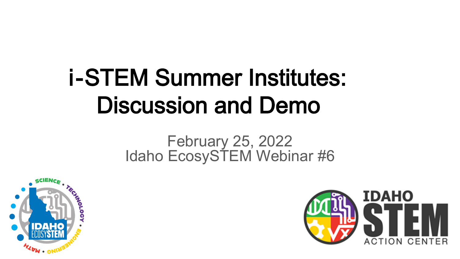# i-STEM Summer Institutes: Discussion and Demo

#### February 25, 2022 Idaho EcosySTEM Webinar #6



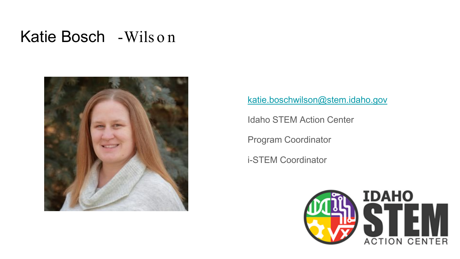#### Katie Bosch -Wils o n



[katie.boschwilson@stem.idaho.gov](mailto:katie.boschwilson@stem.idaho.gov)

Idaho STEM Action Center

Program Coordinator

i-STEM Coordinator

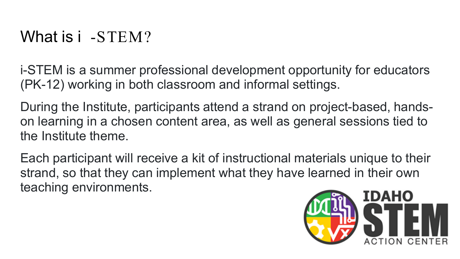i-STEM is a summer professional development opportunity for educators (PK-12) working in both classroom and informal settings.

During the Institute, participants attend a strand on project-based, handson learning in a chosen content area, as well as general sessions tied to the Institute theme.

Each participant will receive a kit of instructional materials unique to their strand, so that they can implement what they have learned in their own teaching environments.

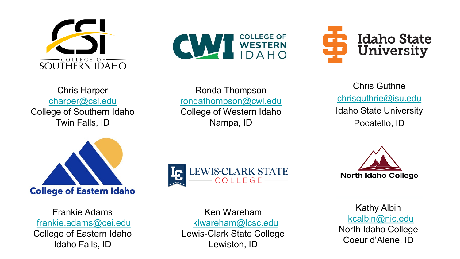







Ronda Thompson [rondathompson@cwi.edu](mailto:rondathompson@cwi.edu) College of Western Idaho Nampa, ID

Chris Guthrie [chrisguthrie@isu.edu](mailto:chrisguthrie@isu.edu) Idaho State University Pocatello, ID



Frankie Adams [frankie.adams@cei.edu](mailto:frankie.adams@cei.edu) College of Eastern Idaho Idaho Falls, ID





Ken Wareham [klwareham@lcsc.edu](mailto:klwareham@lcsc.edu) Lewis-Clark State College Lewiston, ID

Kathy Albin [kcalbin@nic.edu](mailto:kcalbin@nic.edu) North Idaho College Coeur d'Alene, ID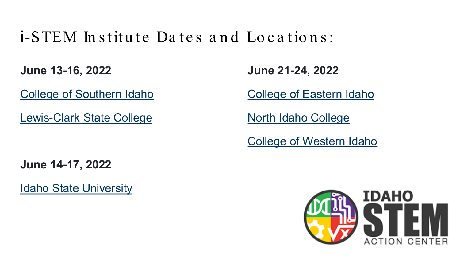#### $i$ -STEM Institute Dates and Locations:

**June 13-16, 2022** 

[College of Southern Idaho](https://stem.idaho.gov/apply/i-stem/csi/)

[Lewis-Clark State College](https://stem.idaho.gov/apply/i-stem/lcsc/)

**June 21-24, 2022** 

[College of Eastern Idaho](https://stem.idaho.gov/apply/i-stem/cei/)

[North Idaho College](https://stem.idaho.gov/apply/i-stem/nic/)

[College of Western Idaho](https://stem.idaho.gov/apply/i-stem/cwi/)

**June 14-17, 2022** 

[Idaho State University](https://stem.idaho.gov/apply/i-stem/isu/)

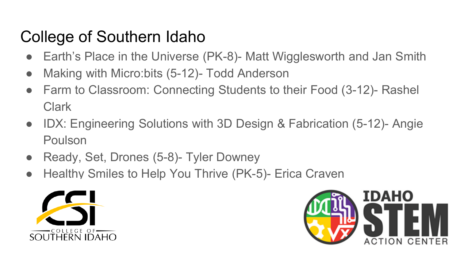## College of Southern Idaho

- Earth's Place in the Universe (PK-8)- Matt Wigglesworth and Jan Smith
- Making with Micro:bits (5-12)- Todd Anderson
- Farm to Classroom: Connecting Students to their Food (3-12)- Rashel Clark
- IDX: Engineering Solutions with 3D Design & Fabrication (5-12)- Angie Poulson
- Ready, Set, Drones (5-8)- Tyler Downey
- Healthy Smiles to Help You Thrive (PK-5)- Erica Craven



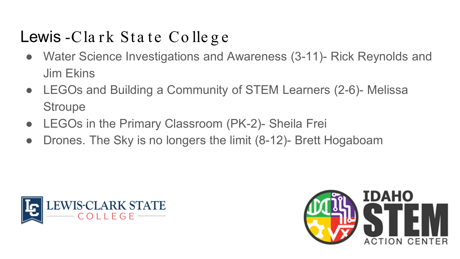## Lewis -Cla rk Sta te Co lle g e

- Water Science Investigations and Awareness (3-11)- Rick Reynolds and Jim Ekins
- LEGOs and Building a Community of STEM Learners (2-6)- Melissa **Stroupe**
- LEGOs in the Primary Classroom (PK-2)- Sheila Frei
- Drones. The Sky is no longers the limit (8-12)- Brett Hogaboam



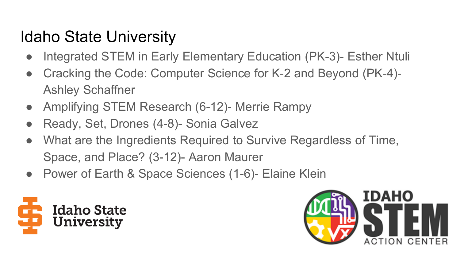## Idaho State University

- Integrated STEM in Early Elementary Education (PK-3)- Esther Ntuli
- Cracking the Code: Computer Science for K-2 and Beyond (PK-4)- Ashley Schaffner
- Amplifying STEM Research (6-12)- Merrie Rampy
- Ready, Set, Drones (4-8)- Sonia Galvez
- What are the Ingredients Required to Survive Regardless of Time, Space, and Place? (3-12)- Aaron Maurer
- Power of Earth & Space Sciences (1-6)- Elaine Klein



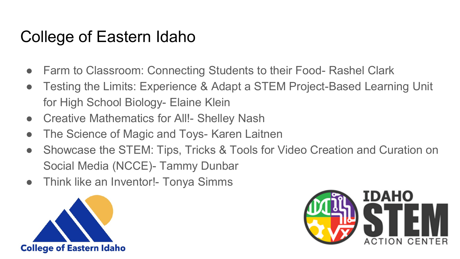#### College of Eastern Idaho

- Farm to Classroom: Connecting Students to their Food- Rashel Clark
- Testing the Limits: Experience & Adapt a STEM Project-Based Learning Unit for High School Biology- Elaine Klein
- Creative Mathematics for All! Shelley Nash
- The Science of Magic and Toys- Karen Laitnen
- Showcase the STEM: Tips, Tricks & Tools for Video Creation and Curation on Social Media (NCCE)- Tammy Dunbar
- Think like an Inventor!- Tonya Simms



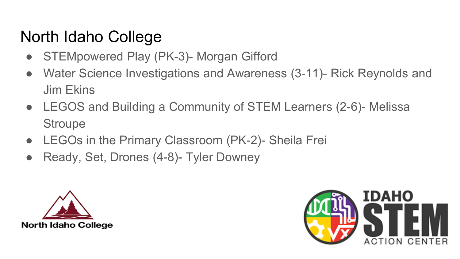#### North Idaho College

- STEMpowered Play (PK-3)- Morgan Gifford
- Water Science Investigations and Awareness (3-11)- Rick Reynolds and Jim Ekins
- LEGOS and Building a Community of STEM Learners (2-6)- Melissa **Stroupe**
- LEGOs in the Primary Classroom (PK-2)- Sheila Frei
- Ready, Set, Drones (4-8)- Tyler Downey



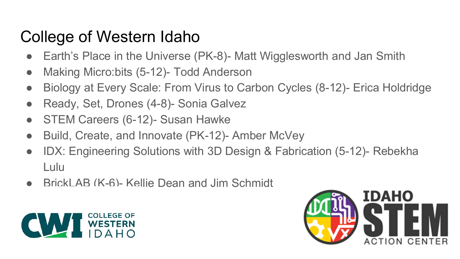## College of Western Idaho

- Earth's Place in the Universe (PK-8)- Matt Wigglesworth and Jan Smith
- Making Micro:bits (5-12)- Todd Anderson
- Biology at Every Scale: From Virus to Carbon Cycles (8-12)- Erica Holdridge
- Ready, Set, Drones (4-8)- Sonia Galvez
- STEM Careers (6-12)- Susan Hawke
- Build, Create, and Innovate (PK-12)- Amber McVey
- IDX: Engineering Solutions with 3D Design & Fabrication (5-12)- Rebekha Lulu
- BrickLAB (K-6)- Kellie Dean and Jim Schmidt



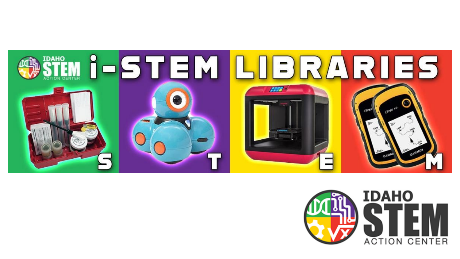

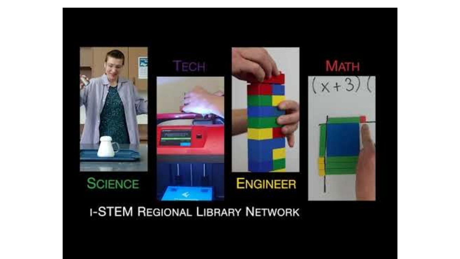

#### **I-STEM REGIONAL LIBRARY NETWORK**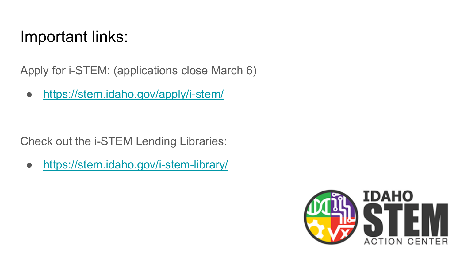#### Important links:

Apply for i-STEM: (applications close March 6)

● <https://stem.idaho.gov/apply/i-stem/>

Check out the i-STEM Lending Libraries:

● <https://stem.idaho.gov/i-stem-library/>